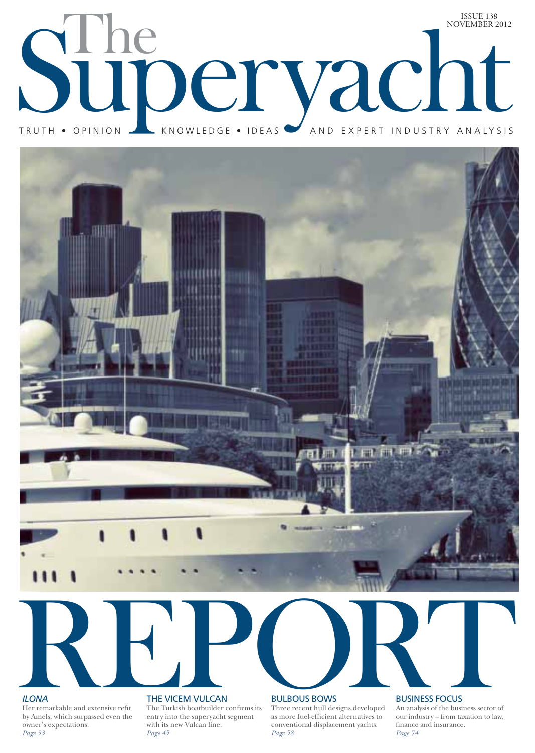



# *ILONA*

THE VICEM VULCAN<br>
THE VICEM VULCAN<br>
THE VICEM VULCAN<br>
EVICEM VULCAN<br>
DEVICEM SURPOUS BOWS<br>
DEVICEM VULCAN<br>
THE VICEM VULCAN<br>
DEVICEM SURPOUS BOWS<br>
DEVICEM SURPOUS BOWS<br>
THE VICEM VULCAN<br>
DEVICAN BURBOUS BOWS<br>
DEVICEM SURPO Her remarkable and extensive refit by Amels, which surpassed even the owner's expectations. *Page 33*

# THE VICEM VULCAN

The Turkish boatbuilder confirms its entry into the superyacht segment with its new Vulcan line. *Page 45* 

### BULBOUS BOWS

Three recent hull designs developed as more fuel-efficient alternatives to conventional displacement yachts. *Page 58*

# BUSINESS FOCUS

An analysis of the business sector of our industry – from taxation to law, finance and insurance. *Page 74*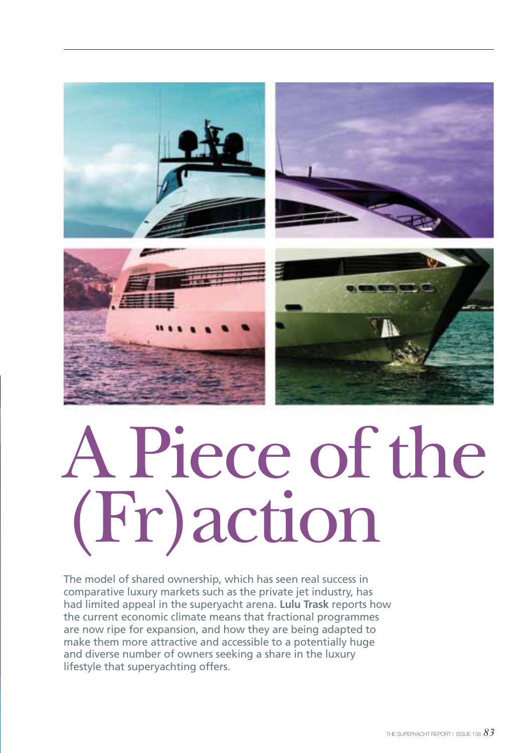

# A Piece of the (Fr)action

The model of shared ownership, which has seen real success in comparative luxury markets such as the private jet industry, has had limited appeal in the superyacht arena. **Lulu Trask** reports how the current economic climate means that fractional programmes are now ripe for expansion, and how they are being adapted to make them more attractive and accessible to a potentially huge and diverse number of owners seeking a share in the luxury lifestyle that superyachting offers.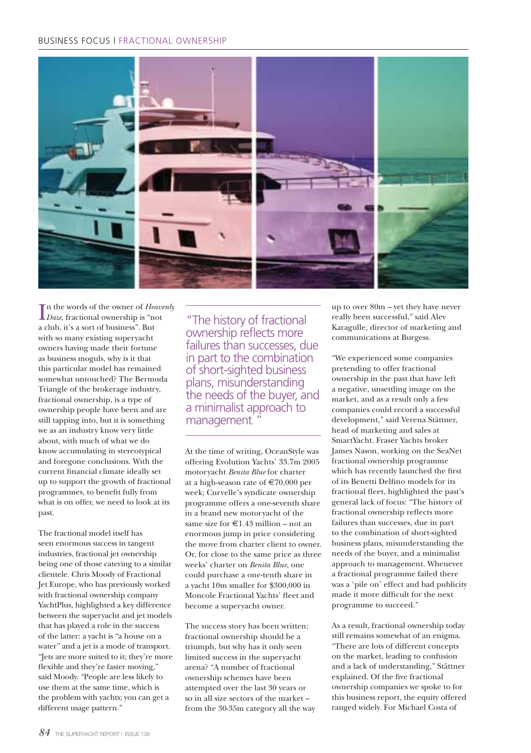# BUSINESS FOCUS | FRACTIONAL OWNERSHIP



In the words of the owner of *Heavenly*<br>Daze, fractional ownership is "not *Daze*, fractional ownership is "not a club, it's a sort of business". But with so many existing superyacht owners having made their fortune as business moguls, why is it that this particular model has remained somewhat untouched? The Bermuda Triangle of the brokerage industry, fractional ownership, is a type of ownership people have been and are still tapping into, but it is something we as an industry know very little about, with much of what we do know accumulating in stereotypical and foregone conclusions. With the current financial climate ideally set up to support the growth of fractional programmes, to benefit fully from what is on offer, we need to look at its past.

The fractional model itself has seen enormous success in tangent industries, fractional jet ownership being one of those catering to a similar clientele. Chris Moody of Fractional Jet Europe, who has previously worked with fractional ownership company YachtPlus, highlighted a key difference between the superyacht and jet models that has played a role in the success of the latter: a yacht is "a house on a water" and a jet is a mode of transport. "Jets are more suited to it; they're more flexible and they're faster moving," said Moody. "People are less likely to use them at the same time, which is the problem with yachts; you can get a different usage pattern."

"The history of fractional ownership reflects more failures than successes, due in part to the combination of short-sighted business plans, misunderstanding the needs of the buyer, and a minimalist approach to management.

At the time of writing, OceanStyle was offering Evolution Yachts' 33.7m 2005 motoryacht *Benita Blue* for charter at a high-season rate of  $\text{E}70,000$  per week; Curvelle's syndicate ownership programme offers a one-seventh share in a brand new motoryacht of the same size for  $\in$  1.43 million – not an enormous jump in price considering the move from charter client to owner. Or, for close to the same price as three weeks' charter on *Benita Blue*, one could purchase a one-tenth share in a yacht 10m smaller for \$300,000 in Moncole Fractional Yachts' fleet and become a superyacht owner.

The success story has been written; fractional ownership should be a triumph, but why has it only seen limited success in the superyacht arena? "A number of fractional ownership schemes have been attempted over the last 30 years or so in all size sectors of the market – from the 30-35m category all the way up to over 80m – yet they have never really been successful," said Alev Karagulle, director of marketing and communications at Burgess.

"We experienced some companies pretending to offer fractional ownership in the past that have left a negative, unsettling image on the market, and as a result only a few companies could record a successful development," said Verena Stättner, head of marketing and sales at SmartYacht. Fraser Yachts broker James Nason, working on the SeaNet fractional ownership programme which has recently launched the first of its Benetti Delfino models for its fractional fleet, highlighted the past's general lack of focus: "The history of fractional ownership reflects more failures than successes, due in part to the combination of short-sighted business plans, misunderstanding the needs of the buyer, and a minimalist approach to management. Whenever a fractional programme failed there was a 'pile on' effect and bad publicity made it more difficult for the next programme to succeed."

As a result, fractional ownership today still remains somewhat of an enigma. "There are lots of different concepts on the market, leading to confusion and a lack of understanding," Stättner explained. Of the five fractional ownership companies we spoke to for this business report, the equity offered ranged widely. For Michael Costa of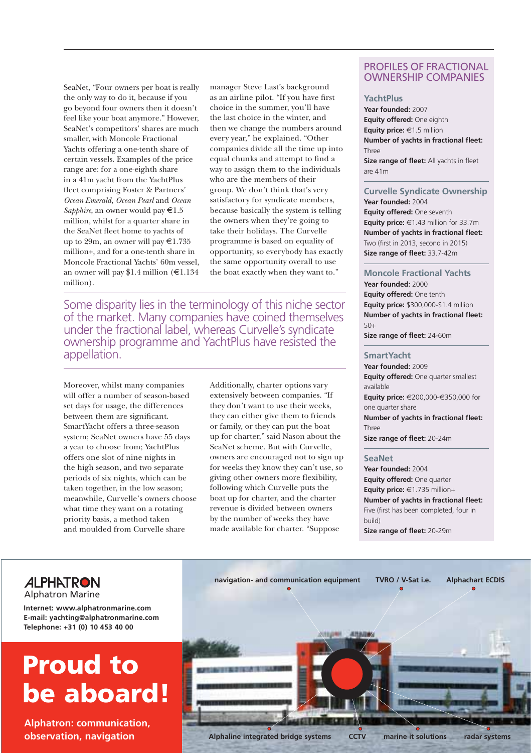SeaNet, "Four owners per boat is really the only way to do it, because if you go beyond four owners then it doesn't feel like your boat anymore." However, SeaNet's competitors' shares are much smaller, with Moncole Fractional Yachts offering a one-tenth share of certain vessels. Examples of the price range are: for a one-eighth share in a 41m yacht from the YachtPlus fleet comprising Foster & Partners' *Ocean Emerald, Ocean Pearl* and *Ocean Sapphire*, an owner would pay €1.5 million, whilst for a quarter share in the SeaNet fleet home to yachts of up to 29m, an owner will pay  $\text{\large\ensuremath{\in}} 1.735$ million+, and for a one-tenth share in Moncole Fractional Yachts' 60m vessel, an owner will pay \$1.4 million ( $\text{\textsterling}1.134$ ) million).

manager Steve Last's background as an airline pilot. "If you have first choice in the summer, you'll have the last choice in the winter, and then we change the numbers around every year," he explained. "Other companies divide all the time up into equal chunks and attempt to find a way to assign them to the individuals who are the members of their group. We don't think that's very satisfactory for syndicate members, because basically the system is telling the owners when they're going to take their holidays. The Curvelle programme is based on equality of opportunity, so everybody has exactly the same opportunity overall to use the boat exactly when they want to."

Some disparity lies in the terminology of this niche sector of the market. Many companies have coined themselves under the fractional label, whereas Curvelle's syndicate ownership programme and YachtPlus have resisted the appellation.

Moreover, whilst many companies will offer a number of season-based set days for usage, the differences between them are significant. SmartYacht offers a three-season system; SeaNet owners have 55 days a year to choose from; YachtPlus offers one slot of nine nights in the high season, and two separate periods of six nights, which can be taken together, in the low season; meanwhile, Curvelle's owners choose what time they want on a rotating priority basis, a method taken and moulded from Curvelle share

Additionally, charter options vary extensively between companies. "If they don't want to use their weeks, they can either give them to friends or family, or they can put the boat up for charter," said Nason about the SeaNet scheme. But with Curvelle, owners are encouraged not to sign up for weeks they know they can't use, so giving other owners more flexibility, following which Curvelle puts the boat up for charter, and the charter revenue is divided between owners by the number of weeks they have made available for charter. "Suppose

# PROFILES OF FRACTIONAL OWNERSHIP COMPANIES

## **YachtPlus**

**Year founded:** 2007 **Equity offered:** One eighth **Equity price:** €1.5 million **Number of yachts in fractional fleet:**  Three **Size range of fleet:** All yachts in fleet are 41m

# **Curvelle Syndicate Ownership**

**Year founded:** 2004 **Equity offered:** One seventh **Equity price:** €1.43 million for 33.7m **Number of yachts in fractional fleet:** Two (first in 2013, second in 2015) **Size range of fleet:** 33.7-42m

# **Moncole Fractional Yachts**

**Year founded:** 2000 **Equity offered:** One tenth **Equity price:** \$300,000-\$1.4 million **Number of yachts in fractional fleet:**  $50+$ 

**Size range of fleet:** 24-60m

#### **SmartYacht**

**Year founded:** 2009 **Equity offered:** One quarter smallest available **Equity price:** €200,000-€350,000 for one quarter share **Number of yachts in fractional fleet: Three Size range of fleet:** 20-24m

#### **SeaNet**

**Year founded:** 2004 **Equity offered:** One quarter **Equity price:** €1.735 million+ **Number of yachts in fractional fleet:** Five (first has been completed, four in build) **Size range of fleet:** 20-29m



# **ALPHATRON**

Alphatron Marine

**Internet: www.alphatronmarine.com E-mail: yachting@alphatronmarine.com Telephone: +31 (0) 10 453 40 00**

# **Proud to be aboard!**

**Alphatron: communication, observation, navigation**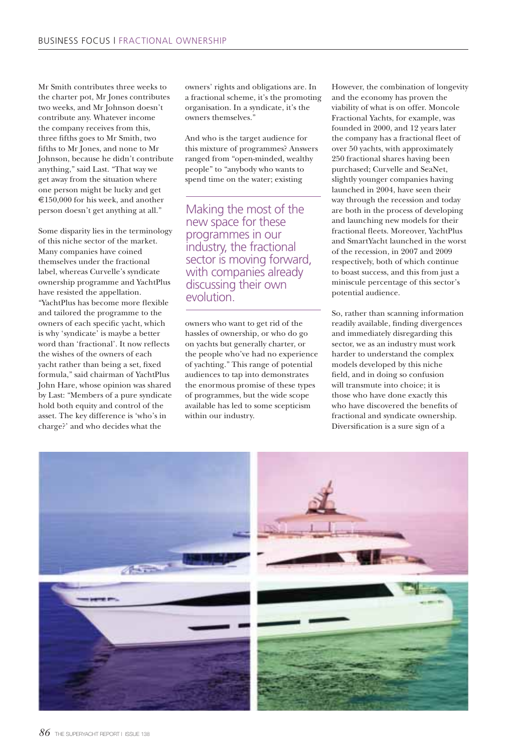Mr Smith contributes three weeks to the charter pot, Mr Jones contributes two weeks, and Mr Johnson doesn't contribute any. Whatever income the company receives from this, three fifths goes to Mr Smith, two fifths to Mr Jones, and none to Mr Johnson, because he didn't contribute anything," said Last. "That way we get away from the situation where one person might be lucky and get €150,000 for his week, and another person doesn't get anything at all."

Some disparity lies in the terminology of this niche sector of the market. Many companies have coined themselves under the fractional label, whereas Curvelle's syndicate ownership programme and YachtPlus have resisted the appellation. "YachtPlus has become more flexible and tailored the programme to the owners of each specific yacht, which is why 'syndicate' is maybe a better word than 'fractional'. It now reflects the wishes of the owners of each yacht rather than being a set, fixed formula," said chairman of YachtPlus John Hare, whose opinion was shared by Last: "Members of a pure syndicate hold both equity and control of the asset. The key difference is 'who's in charge?' and who decides what the

owners' rights and obligations are. In a fractional scheme, it's the promoting organisation. In a syndicate, it's the owners themselves."

And who is the target audience for this mixture of programmes? Answers ranged from "open-minded, wealthy people" to "anybody who wants to spend time on the water; existing

Making the most of the new space for these programmes in our industry, the fractional sector is moving forward, with companies already discussing their own evolution.

owners who want to get rid of the hassles of ownership, or who do go on yachts but generally charter, or the people who've had no experience of yachting." This range of potential audiences to tap into demonstrates the enormous promise of these types of programmes, but the wide scope available has led to some scepticism within our industry.

However, the combination of longevity and the economy has proven the viability of what is on offer. Moncole Fractional Yachts, for example, was founded in 2000, and 12 years later the company has a fractional fleet of over 50 yachts, with approximately 250 fractional shares having been purchased; Curvelle and SeaNet, slightly younger companies having launched in 2004, have seen their way through the recession and today are both in the process of developing and launching new models for their fractional fleets. Moreover, YachtPlus and SmartYacht launched in the worst of the recession, in 2007 and 2009 respectively, both of which continue to boast success, and this from just a miniscule percentage of this sector's potential audience.

So, rather than scanning information readily available, finding divergences and immediately disregarding this sector, we as an industry must work harder to understand the complex models developed by this niche field, and in doing so confusion will transmute into choice; it is those who have done exactly this who have discovered the benefits of fractional and syndicate ownership. Diversification is a sure sign of a